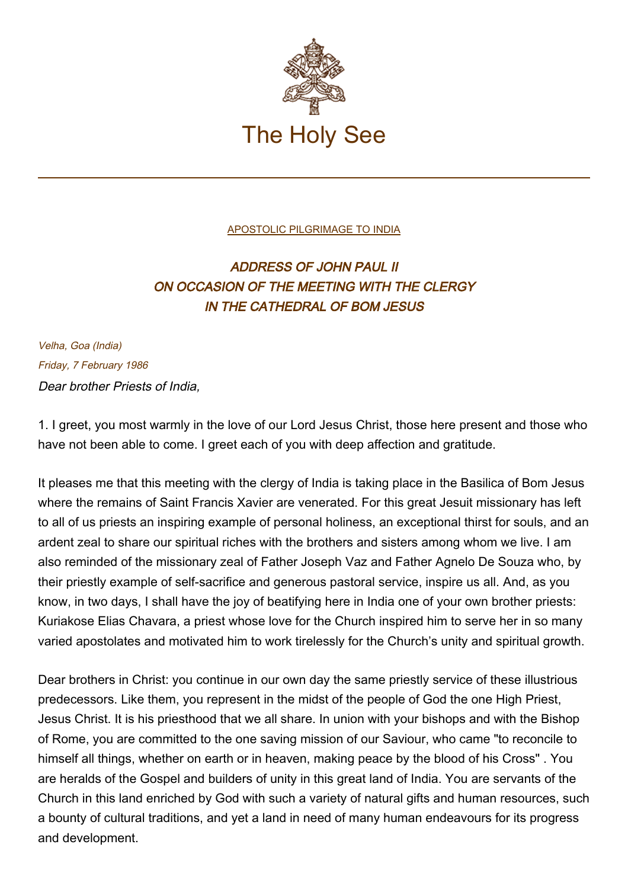

## [APOSTOLIC PILGRIMAGE TO INDIA](http://localhost/holy_father/john_paul_ii/travels/sub_index1986/trav_india.htm)

## ADDRESS OF JOHN PAUL II ON OCCASION OF THE MEETING WITH THE CLERGY IN THE CATHEDRAL OF BOM JESUS

Velha, Goa (India) Friday, 7 February 1986 Dear brother Priests of India,

1. I greet, you most warmly in the love of our Lord Jesus Christ, those here present and those who have not been able to come. I greet each of you with deep affection and gratitude.

It pleases me that this meeting with the clergy of India is taking place in the Basilica of Bom Jesus where the remains of Saint Francis Xavier are venerated. For this great Jesuit missionary has left to all of us priests an inspiring example of personal holiness, an exceptional thirst for souls, and an ardent zeal to share our spiritual riches with the brothers and sisters among whom we live. I am also reminded of the missionary zeal of Father Joseph Vaz and Father Agnelo De Souza who, by their priestly example of self-sacrifice and generous pastoral service, inspire us all. And, as you know, in two days, I shall have the joy of beatifying here in India one of your own brother priests: Kuriakose Elias Chavara, a priest whose love for the Church inspired him to serve her in so many varied apostolates and motivated him to work tirelessly for the Church's unity and spiritual growth.

Dear brothers in Christ: you continue in our own day the same priestly service of these illustrious predecessors. Like them, you represent in the midst of the people of God the one High Priest, Jesus Christ. It is his priesthood that we all share. In union with your bishops and with the Bishop of Rome, you are committed to the one saving mission of our Saviour, who came "to reconcile to himself all things, whether on earth or in heaven, making peace by the blood of his Cross" . You are heralds of the Gospel and builders of unity in this great land of India. You are servants of the Church in this land enriched by God with such a variety of natural gifts and human resources, such a bounty of cultural traditions, and yet a land in need of many human endeavours for its progress and development.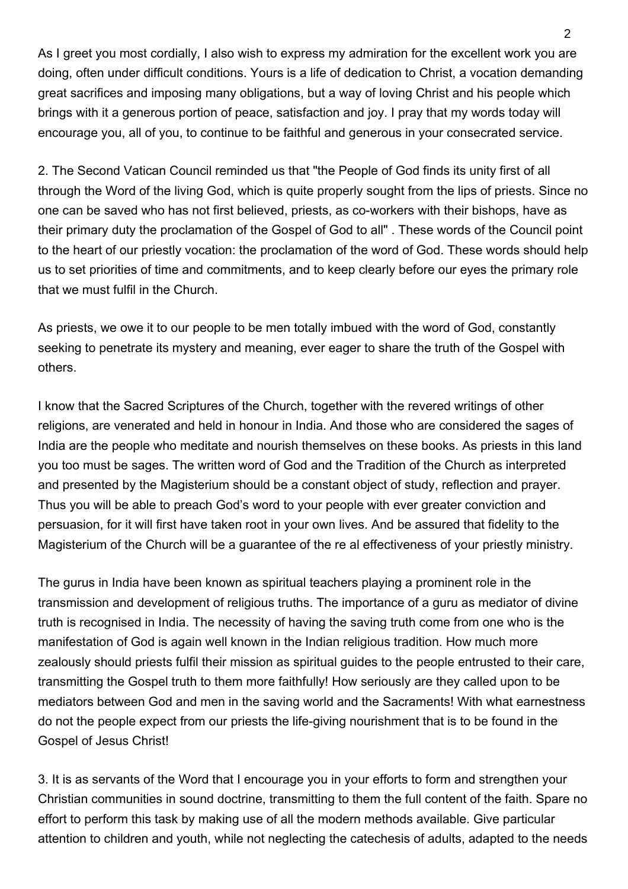As I greet you most cordially, I also wish to express my admiration for the excellent work you are doing, often under difficult conditions. Yours is a life of dedication to Christ, a vocation demanding great sacrifices and imposing many obligations, but a way of loving Christ and his people which brings with it a generous portion of peace, satisfaction and joy. I pray that my words today will encourage you, all of you, to continue to be faithful and generous in your consecrated service.

2. The Second Vatican Council reminded us that "the People of God finds its unity first of all through the Word of the living God, which is quite properly sought from the lips of priests. Since no one can be saved who has not first believed, priests, as co-workers with their bishops, have as their primary duty the proclamation of the Gospel of God to all" . These words of the Council point to the heart of our priestly vocation: the proclamation of the word of God. These words should help us to set priorities of time and commitments, and to keep clearly before our eyes the primary role that we must fulfil in the Church.

As priests, we owe it to our people to be men totally imbued with the word of God, constantly seeking to penetrate its mystery and meaning, ever eager to share the truth of the Gospel with others.

I know that the Sacred Scriptures of the Church, together with the revered writings of other religions, are venerated and held in honour in India. And those who are considered the sages of India are the people who meditate and nourish themselves on these books. As priests in this land you too must be sages. The written word of God and the Tradition of the Church as interpreted and presented by the Magisterium should be a constant object of study, reflection and prayer. Thus you will be able to preach God's word to your people with ever greater conviction and persuasion, for it will first have taken root in your own lives. And be assured that fidelity to the Magisterium of the Church will be a guarantee of the re al effectiveness of your priestly ministry.

The gurus in India have been known as spiritual teachers playing a prominent role in the transmission and development of religious truths. The importance of a guru as mediator of divine truth is recognised in India. The necessity of having the saving truth come from one who is the manifestation of God is again well known in the Indian religious tradition. How much more zealously should priests fulfil their mission as spiritual guides to the people entrusted to their care, transmitting the Gospel truth to them more faithfully! How seriously are they called upon to be mediators between God and men in the saving world and the Sacraments! With what earnestness do not the people expect from our priests the life-giving nourishment that is to be found in the Gospel of Jesus Christ!

3. It is as servants of the Word that I encourage you in your efforts to form and strengthen your Christian communities in sound doctrine, transmitting to them the full content of the faith. Spare no effort to perform this task by making use of all the modern methods available. Give particular attention to children and youth, while not neglecting the catechesis of adults, adapted to the needs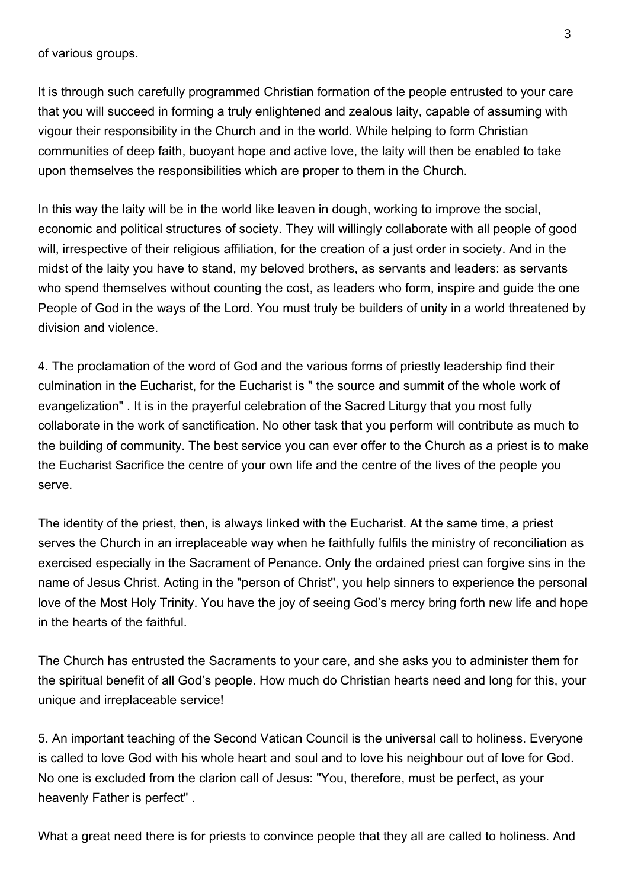of various groups.

It is through such carefully programmed Christian formation of the people entrusted to your care that you will succeed in forming a truly enlightened and zealous laity, capable of assuming with vigour their responsibility in the Church and in the world. While helping to form Christian communities of deep faith, buoyant hope and active love, the laity will then be enabled to take upon themselves the responsibilities which are proper to them in the Church.

In this way the laity will be in the world like leaven in dough, working to improve the social, economic and political structures of society. They will willingly collaborate with all people of good will, irrespective of their religious affiliation, for the creation of a just order in society. And in the midst of the laity you have to stand, my beloved brothers, as servants and leaders: as servants who spend themselves without counting the cost, as leaders who form, inspire and guide the one People of God in the ways of the Lord. You must truly be builders of unity in a world threatened by division and violence.

4. The proclamation of the word of God and the various forms of priestly leadership find their culmination in the Eucharist, for the Eucharist is " the source and summit of the whole work of evangelization" . It is in the prayerful celebration of the Sacred Liturgy that you most fully collaborate in the work of sanctification. No other task that you perform will contribute as much to the building of community. The best service you can ever offer to the Church as a priest is to make the Eucharist Sacrifice the centre of your own life and the centre of the lives of the people you serve.

The identity of the priest, then, is always linked with the Eucharist. At the same time, a priest serves the Church in an irreplaceable way when he faithfully fulfils the ministry of reconciliation as exercised especially in the Sacrament of Penance. Only the ordained priest can forgive sins in the name of Jesus Christ. Acting in the "person of Christ", you help sinners to experience the personal love of the Most Holy Trinity. You have the joy of seeing God's mercy bring forth new life and hope in the hearts of the faithful.

The Church has entrusted the Sacraments to your care, and she asks you to administer them for the spiritual benefit of all God's people. How much do Christian hearts need and long for this, your unique and irreplaceable service!

5. An important teaching of the Second Vatican Council is the universal call to holiness. Everyone is called to love God with his whole heart and soul and to love his neighbour out of love for God. No one is excluded from the clarion call of Jesus: "You, therefore, must be perfect, as your heavenly Father is perfect" .

What a great need there is for priests to convince people that they all are called to holiness. And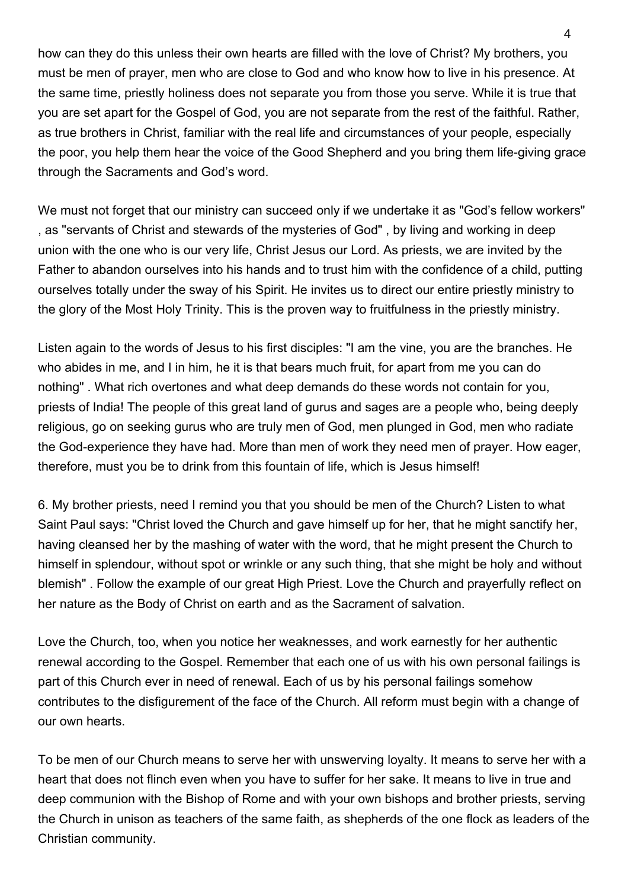how can they do this unless their own hearts are filled with the love of Christ? My brothers, you must be men of prayer, men who are close to God and who know how to live in his presence. At the same time, priestly holiness does not separate you from those you serve. While it is true that you are set apart for the Gospel of God, you are not separate from the rest of the faithful. Rather, as true brothers in Christ, familiar with the real life and circumstances of your people, especially the poor, you help them hear the voice of the Good Shepherd and you bring them life-giving grace through the Sacraments and God's word.

We must not forget that our ministry can succeed only if we undertake it as "God's fellow workers" , as "servants of Christ and stewards of the mysteries of God" , by living and working in deep union with the one who is our very life, Christ Jesus our Lord. As priests, we are invited by the Father to abandon ourselves into his hands and to trust him with the confidence of a child, putting ourselves totally under the sway of his Spirit. He invites us to direct our entire priestly ministry to the glory of the Most Holy Trinity. This is the proven way to fruitfulness in the priestly ministry.

Listen again to the words of Jesus to his first disciples: "I am the vine, you are the branches. He who abides in me, and I in him, he it is that bears much fruit, for apart from me you can do nothing" . What rich overtones and what deep demands do these words not contain for you, priests of India! The people of this great land of gurus and sages are a people who, being deeply religious, go on seeking gurus who are truly men of God, men plunged in God, men who radiate the God-experience they have had. More than men of work they need men of prayer. How eager, therefore, must you be to drink from this fountain of life, which is Jesus himself!

6. My brother priests, need I remind you that you should be men of the Church? Listen to what Saint Paul says: "Christ loved the Church and gave himself up for her, that he might sanctify her, having cleansed her by the mashing of water with the word, that he might present the Church to himself in splendour, without spot or wrinkle or any such thing, that she might be holy and without blemish" . Follow the example of our great High Priest. Love the Church and prayerfully reflect on her nature as the Body of Christ on earth and as the Sacrament of salvation.

Love the Church, too, when you notice her weaknesses, and work earnestly for her authentic renewal according to the Gospel. Remember that each one of us with his own personal failings is part of this Church ever in need of renewal. Each of us by his personal failings somehow contributes to the disfigurement of the face of the Church. All reform must begin with a change of our own hearts.

To be men of our Church means to serve her with unswerving loyalty. It means to serve her with a heart that does not flinch even when you have to suffer for her sake. It means to live in true and deep communion with the Bishop of Rome and with your own bishops and brother priests, serving the Church in unison as teachers of the same faith, as shepherds of the one flock as leaders of the Christian community.